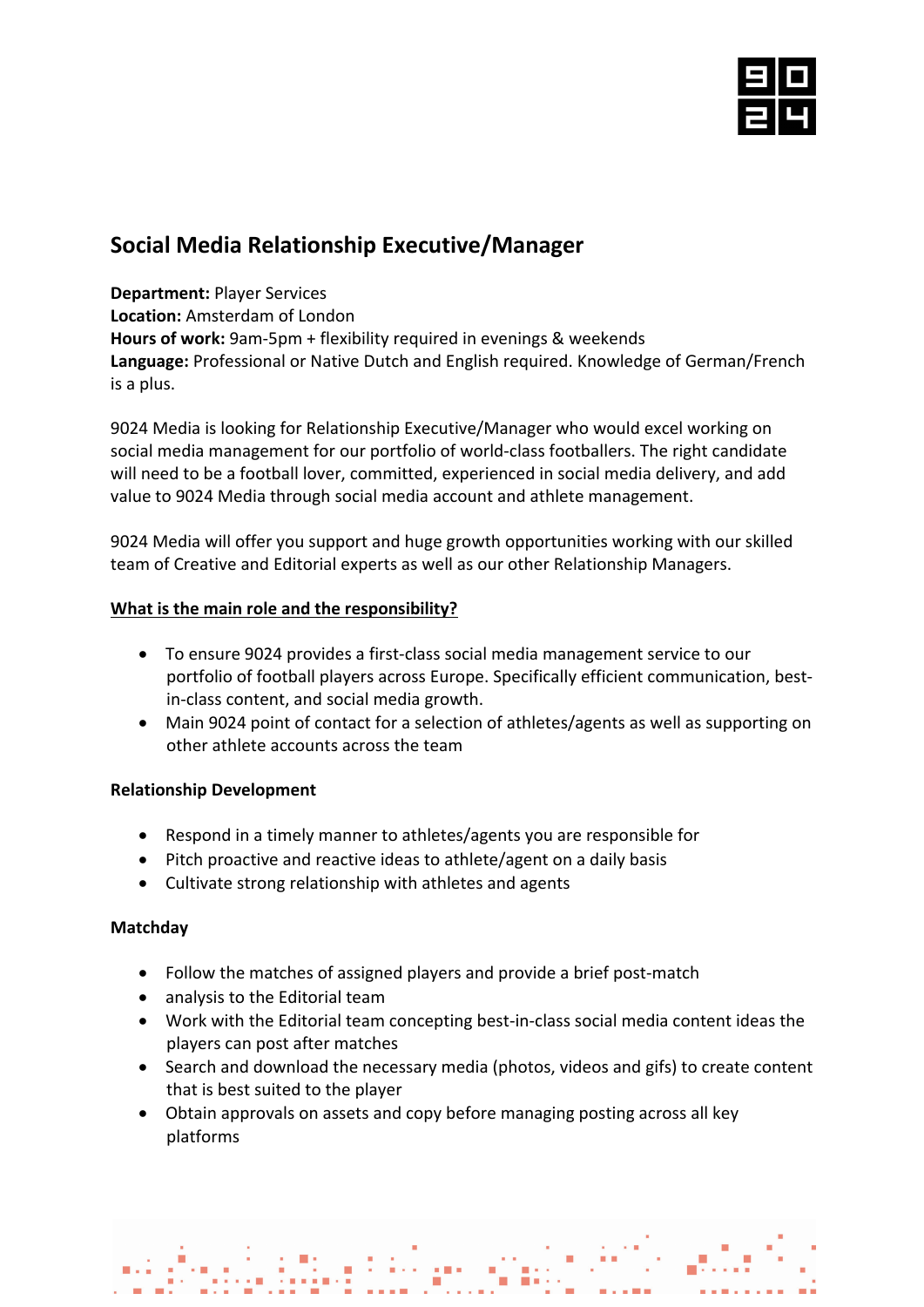

# **Social Media Relationship Executive/Manager**

**Department:** Player Services

**Location:** Amsterdam of London

**Hours of work:** 9am-5pm + flexibility required in evenings & weekends

**Language:** Professional or Native Dutch and English required. Knowledge of German/French is a plus.

9024 Media is looking for Relationship Executive/Manager who would excel working on social media management for our portfolio of world-class footballers. The right candidate will need to be a football lover, committed, experienced in social media delivery, and add value to 9024 Media through social media account and athlete management.

9024 Media will offer you support and huge growth opportunities working with our skilled team of Creative and Editorial experts as well as our other Relationship Managers.

# **What is the main role and the responsibility?**

- To ensure 9024 provides a first-class social media management service to our portfolio of football players across Europe. Specifically efficient communication, bestin-class content, and social media growth.
- Main 9024 point of contact for a selection of athletes/agents as well as supporting on other athlete accounts across the team

# **Relationship Development**

- Respond in a timely manner to athletes/agents you are responsible for
- Pitch proactive and reactive ideas to athlete/agent on a daily basis
- Cultivate strong relationship with athletes and agents

# **Matchday**

- Follow the matches of assigned players and provide a brief post-match
- analysis to the Editorial team
- Work with the Editorial team concepting best-in-class social media content ideas the players can post after matches
- Search and download the necessary media (photos, videos and gifs) to create content that is best suited to the player
- Obtain approvals on assets and copy before managing posting across all key platforms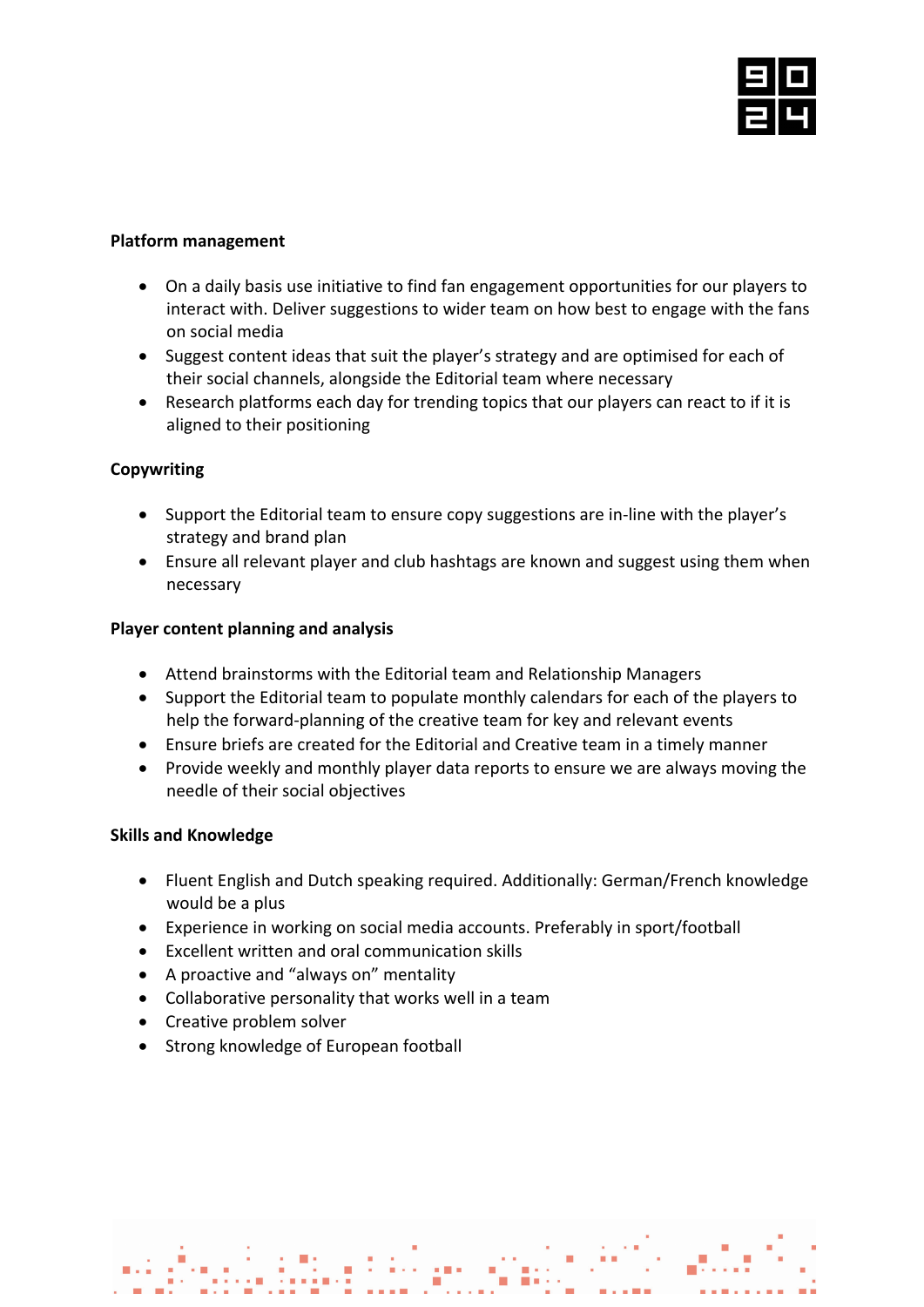

#### **Platform management**

- On a daily basis use initiative to find fan engagement opportunities for our players to interact with. Deliver suggestions to wider team on how best to engage with the fans on social media
- Suggest content ideas that suit the player's strategy and are optimised for each of their social channels, alongside the Editorial team where necessary
- Research platforms each day for trending topics that our players can react to if it is aligned to their positioning

## **Copywriting**

- Support the Editorial team to ensure copy suggestions are in-line with the player's strategy and brand plan
- Ensure all relevant player and club hashtags are known and suggest using them when necessary

## **Player content planning and analysis**

- Attend brainstorms with the Editorial team and Relationship Managers
- Support the Editorial team to populate monthly calendars for each of the players to help the forward-planning of the creative team for key and relevant events
- Ensure briefs are created for the Editorial and Creative team in a timely manner
- Provide weekly and monthly player data reports to ensure we are always moving the needle of their social objectives

#### **Skills and Knowledge**

- Fluent English and Dutch speaking required. Additionally: German/French knowledge would be a plus
- Experience in working on social media accounts. Preferably in sport/football
- Excellent written and oral communication skills
- A proactive and "always on" mentality
- Collaborative personality that works well in a team
- Creative problem solver
- Strong knowledge of European football